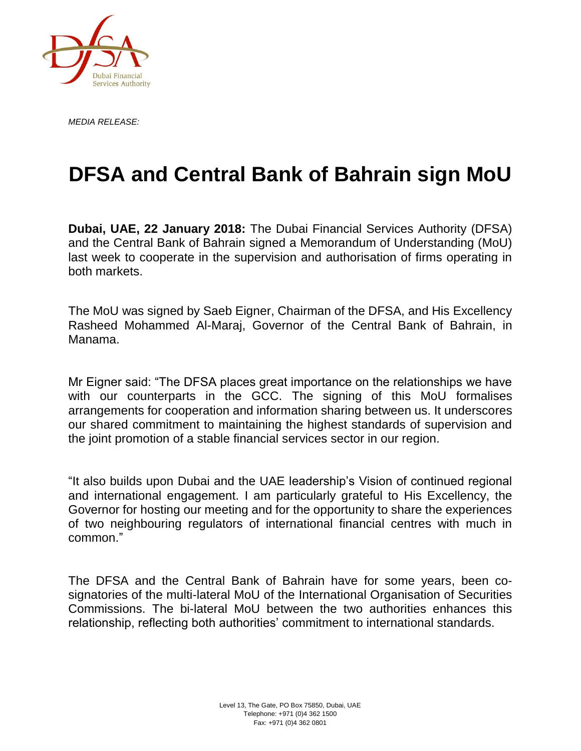

*MEDIA RELEASE:*

# **DFSA and Central Bank of Bahrain sign MoU**

**Dubai, UAE, 22 January 2018:** The Dubai Financial Services Authority (DFSA) and the Central Bank of Bahrain signed a Memorandum of Understanding (MoU) last week to cooperate in the supervision and authorisation of firms operating in both markets.

The MoU was signed by Saeb Eigner, Chairman of the DFSA, and His Excellency Rasheed Mohammed Al-Maraj, Governor of the Central Bank of Bahrain, in Manama.

Mr Eigner said: "The DFSA places great importance on the relationships we have with our counterparts in the GCC. The signing of this MoU formalises arrangements for cooperation and information sharing between us. It underscores our shared commitment to maintaining the highest standards of supervision and the joint promotion of a stable financial services sector in our region.

"It also builds upon Dubai and the UAE leadership's Vision of continued regional and international engagement. I am particularly grateful to His Excellency, the Governor for hosting our meeting and for the opportunity to share the experiences of two neighbouring regulators of international financial centres with much in common."

The DFSA and the Central Bank of Bahrain have for some years, been cosignatories of the multi-lateral MoU of the International Organisation of Securities Commissions. The bi-lateral MoU between the two authorities enhances this relationship, reflecting both authorities' commitment to international standards.